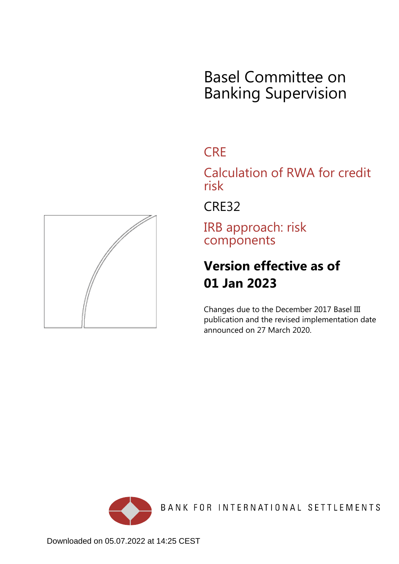# Basel Committee on Banking Supervision

# **CRE**

Calculation of RWA for credit risk

CRE32

IRB approach: risk components

# **Version effective as of 01 Jan 2023**

Changes due to the December 2017 Basel III publication and the revised implementation date announced on 27 March 2020.



BANK FOR INTERNATIONAL SETTLEMENTS

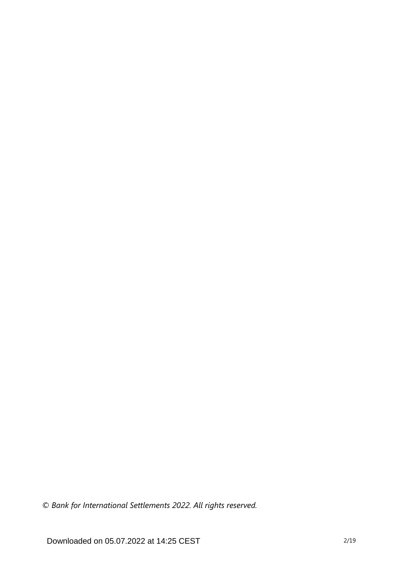*© Bank for International Settlements 2022. All rights reserved.*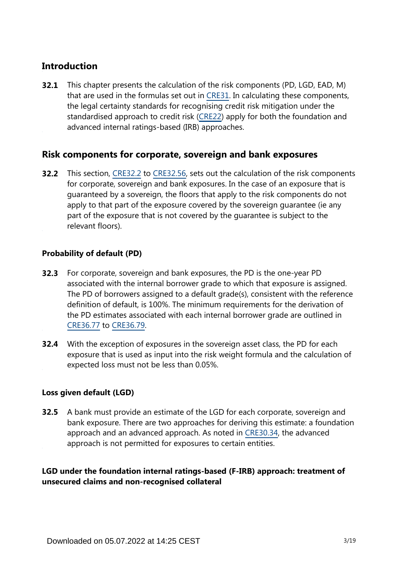# **Introduction**

This chapter presents the calculation of the risk components (PD, LGD, EAD, M) that are used in the formulas set out in [CRE31.](https://www.bis.org/basel_framework/chapter/CRE/31.htm?tldate=20230101&inforce=20230101&published=20200327) In calculating these components, the legal certainty standards for recognising credit risk mitigation under the standardised approach to credit risk ([CRE22](https://www.bis.org/basel_framework/chapter/CRE/22.htm?tldate=20230101&inforce=20230101&published=20201126)) apply for both the foundation and advanced internal ratings-based (IRB) approaches. **32.1**

# **Risk components for corporate, sovereign and bank exposures**

**32.2** This section, [CRE32.2](https://www.bis.org/basel_framework/chapter/CRE/32.htm?tldate=20230101&inforce=20230101&published=20200327#paragraph_CRE_32_20230101_32_2) to [CRE32.56,](https://www.bis.org/basel_framework/chapter/CRE/32.htm?tldate=20230101&inforce=20230101&published=20200327#paragraph_CRE_32_20230101_32_56) sets out the calculation of the risk components for corporate, sovereign and bank exposures. In the case of an exposure that is guaranteed by a sovereign, the floors that apply to the risk components do not apply to that part of the exposure covered by the sovereign guarantee (ie any part of the exposure that is not covered by the guarantee is subject to the relevant floors).

## **Probability of default (PD)**

- For corporate, sovereign and bank exposures, the PD is the one-year PD associated with the internal borrower grade to which that exposure is assigned. The PD of borrowers assigned to a default grade(s), consistent with the reference definition of default, is 100%. The minimum requirements for the derivation of the PD estimates associated with each internal borrower grade are outlined in [CRE36.77](https://www.bis.org/basel_framework/chapter/CRE/36.htm?tldate=20230101&inforce=20230101&published=20200327#paragraph_CRE_36_20230101_36_77) to [CRE36.79](https://www.bis.org/basel_framework/chapter/CRE/36.htm?tldate=20230101&inforce=20230101&published=20200327#paragraph_CRE_36_20230101_36_79). **32.3**
- **32.4** With the exception of exposures in the sovereign asset class, the PD for each exposure that is used as input into the risk weight formula and the calculation of expected loss must not be less than 0.05%.

# **Loss given default (LGD)**

**32.5** A bank must provide an estimate of the LGD for each corporate, sovereign and bank exposure. There are two approaches for deriving this estimate: a foundation approach and an advanced approach. As noted in [CRE30.34,](https://www.bis.org/basel_framework/chapter/CRE/30.htm?tldate=20230101&inforce=20230101&published=20200327#paragraph_CRE_30_20230101_30_34) the advanced approach is not permitted for exposures to certain entities.

**LGD under the foundation internal ratings-based (F-IRB) approach: treatment of unsecured claims and non-recognised collateral**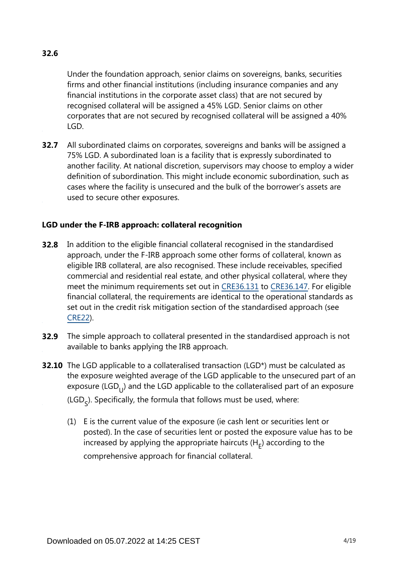# **32.6**

Under the foundation approach, senior claims on sovereigns, banks, securities firms and other financial institutions (including insurance companies and any financial institutions in the corporate asset class) that are not secured by recognised collateral will be assigned a 45% LGD. Senior claims on other corporates that are not secured by recognised collateral will be assigned a 40% LGD.

**32.7** All subordinated claims on corporates, sovereigns and banks will be assigned a 75% LGD. A subordinated loan is a facility that is expressly subordinated to another facility. At national discretion, supervisors may choose to employ a wider definition of subordination. This might include economic subordination, such as cases where the facility is unsecured and the bulk of the borrower's assets are used to secure other exposures.

## **LGD under the F-IRB approach: collateral recognition**

- **32.8** In addition to the eligible financial collateral recognised in the standardised approach, under the F-IRB approach some other forms of collateral, known as eligible IRB collateral, are also recognised. These include receivables, specified commercial and residential real estate, and other physical collateral, where they meet the minimum requirements set out in [CRE36.131](https://www.bis.org/basel_framework/chapter/CRE/36.htm?tldate=20230101&inforce=20230101&published=20200327#paragraph_CRE_36_20230101_36_131) to [CRE36.147](https://www.bis.org/basel_framework/chapter/CRE/36.htm?tldate=20230101&inforce=20230101&published=20200327#paragraph_CRE_36_20230101_36_147). For eligible financial collateral, the requirements are identical to the operational standards as set out in the credit risk mitigation section of the standardised approach (see [CRE22\)](https://www.bis.org/basel_framework/chapter/CRE/22.htm?tldate=20230101&inforce=20230101&published=20201126).
- **32.9** The simple approach to collateral presented in the standardised approach is not available to banks applying the IRB approach.
- **32.10** The LGD applicable to a collateralised transaction (LGD\*) must be calculated as the exposure weighted average of the LGD applicable to the unsecured part of an exposure (LGD $_{1}$ ) and the LGD applicable to the collateralised part of an exposure (LGD<sub>c</sub>). Specifically, the formula that follows must be used, where:
	- (1) E is the current value of the exposure (ie cash lent or securities lent or posted). In the case of securities lent or posted the exposure value has to be increased by applying the appropriate haircuts  $(H<sub>r</sub>)$  according to the comprehensive approach for financial collateral.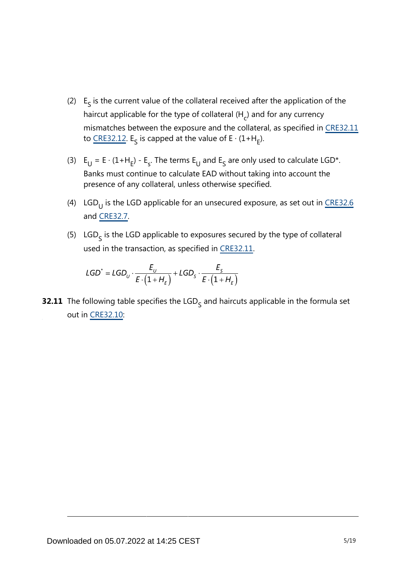- (2)  $E<sub>s</sub>$  is the current value of the collateral received after the application of the haircut applicable for the type of collateral (H<sub>c</sub>) and for any currency mismatches between the exposure and the collateral, as specified in [CRE32.11](https://www.bis.org/basel_framework/chapter/CRE/32.htm?tldate=20230101&inforce=20230101&published=20200327#paragraph_CRE_32_20230101_32_11) to [CRE32.12](https://www.bis.org/basel_framework/chapter/CRE/32.htm?tldate=20230101&inforce=20230101&published=20200327#paragraph_CRE_32_20230101_32_12). E<sub>S</sub> is capped at the value of E ⋅ (1+H<sub>E</sub>).
- (3)  $E_U = E \cdot (1 + H_E) E_S$ . The terms  $E_U$  and  $E_S$  are only used to calculate LGD\*. Banks must continue to calculate EAD without taking into account the presence of any collateral, unless otherwise specified.
- (4) LGD<sub>U</sub> is the LGD applicable for an unsecured exposure, as set out in <u>[CRE32.6](https://www.bis.org/basel_framework/chapter/CRE/32.htm?tldate=20230101&inforce=20230101&published=20200327#paragraph_CRE_32_20230101_32_6)</u> and [CRE32.7.](https://www.bis.org/basel_framework/chapter/CRE/32.htm?tldate=20230101&inforce=20230101&published=20200327#paragraph_CRE_32_20230101_32_7)
- (5)  $LGD<sub>c</sub>$  is the LGD applicable to exposures secured by the type of collateral used in the transaction, as specified in [CRE32.11.](https://www.bis.org/basel_framework/chapter/CRE/32.htm?tldate=20230101&inforce=20230101&published=20200327#paragraph_CRE_32_20230101_32_11)

$$
\mathsf{LGD}^* = \mathsf{LGD}_U \cdot \frac{E_U}{E \cdot \left(1 + H_{\varepsilon}\right)} + \mathsf{LGD}_S \cdot \frac{E_S}{E \cdot \left(1 + H_{\varepsilon}\right)}
$$

**32.11** The following table specifies the LGD<sub>S</sub> and haircuts applicable in the formula set out in [CRE32.10](https://www.bis.org/basel_framework/chapter/CRE/32.htm?tldate=20230101&inforce=20230101&published=20200327#paragraph_CRE_32_20230101_32_10):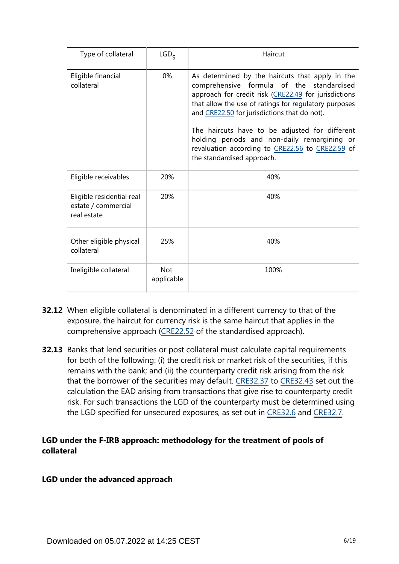| Type of collateral                                              | LGD <sub>c</sub>         | Haircut                                                                                                                                                                                                                                                                                                                                                                                                                                           |
|-----------------------------------------------------------------|--------------------------|---------------------------------------------------------------------------------------------------------------------------------------------------------------------------------------------------------------------------------------------------------------------------------------------------------------------------------------------------------------------------------------------------------------------------------------------------|
| Eligible financial<br>collateral                                | $0\%$                    | As determined by the haircuts that apply in the<br>comprehensive formula of the standardised<br>approach for credit risk (CRE22.49 for jurisdictions<br>that allow the use of ratings for regulatory purposes<br>and CRE22.50 for jurisdictions that do not).<br>The haircuts have to be adjusted for different<br>holding periods and non-daily remargining or<br>revaluation according to CRE22.56 to CRE22.59 of<br>the standardised approach. |
| Eligible receivables                                            | 20%                      | 40%                                                                                                                                                                                                                                                                                                                                                                                                                                               |
| Eligible residential real<br>estate / commercial<br>real estate | 20%                      | 40%                                                                                                                                                                                                                                                                                                                                                                                                                                               |
| Other eligible physical<br>collateral                           | 25%                      | 40%                                                                                                                                                                                                                                                                                                                                                                                                                                               |
| Ineligible collateral                                           | <b>Not</b><br>applicable | 100%                                                                                                                                                                                                                                                                                                                                                                                                                                              |

- **32.12** When eligible collateral is denominated in a different currency to that of the exposure, the haircut for currency risk is the same haircut that applies in the comprehensive approach [\(CRE22.52](https://www.bis.org/basel_framework/chapter/CRE/22.htm?tldate=20230101&inforce=20230101&published=20201126#paragraph_CRE_22_20230101_22_52) of the standardised approach).
- **32.13** Banks that lend securities or post collateral must calculate capital requirements for both of the following: (i) the credit risk or market risk of the securities, if this remains with the bank; and (ii) the counterparty credit risk arising from the risk that the borrower of the securities may default. [CRE32.37](https://www.bis.org/basel_framework/chapter/CRE/32.htm?tldate=20230101&inforce=20230101&published=20200327#paragraph_CRE_32_20230101_32_37) to [CRE32.43](https://www.bis.org/basel_framework/chapter/CRE/32.htm?tldate=20230101&inforce=20230101&published=20200327#paragraph_CRE_32_20230101_32_43) set out the calculation the EAD arising from transactions that give rise to counterparty credit risk. For such transactions the LGD of the counterparty must be determined using the LGD specified for unsecured exposures, as set out in [CRE32.6](https://www.bis.org/basel_framework/chapter/CRE/32.htm?tldate=20230101&inforce=20230101&published=20200327#paragraph_CRE_32_20230101_32_6) and [CRE32.7.](https://www.bis.org/basel_framework/chapter/CRE/32.htm?tldate=20230101&inforce=20230101&published=20200327#paragraph_CRE_32_20230101_32_7)

## **LGD under the F-IRB approach: methodology for the treatment of pools of collateral**

#### **LGD under the advanced approach**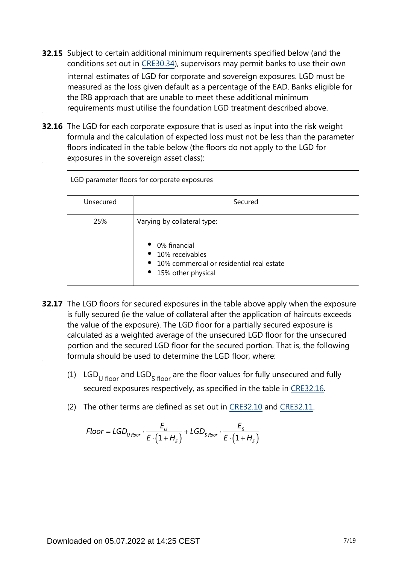- **32.15** Subject to certain additional minimum requirements specified below (and the conditions set out in [CRE30.34\)](https://www.bis.org/basel_framework/chapter/CRE/30.htm?tldate=20230101&inforce=20230101&published=20200327#paragraph_CRE_30_20230101_30_34), supervisors may permit banks to use their own internal estimates of LGD for corporate and sovereign exposures. LGD must be measured as the loss given default as a percentage of the EAD. Banks eligible for the IRB approach that are unable to meet these additional minimum requirements must utilise the foundation LGD treatment described above.
- **32.16** The LGD for each corporate exposure that is used as input into the risk weight formula and the calculation of expected loss must not be less than the parameter floors indicated in the table below (the floors do not apply to the LGD for exposures in the sovereign asset class):

| LGD parameter floors for corporate exposures |                                                                                                                                                   |  |  |  |
|----------------------------------------------|---------------------------------------------------------------------------------------------------------------------------------------------------|--|--|--|
| Unsecured                                    | Secured                                                                                                                                           |  |  |  |
| 25%                                          | Varying by collateral type:<br>• 0% financial<br>• 10% receivables<br>$\bullet$ 10% commercial or residential real estate<br>• 15% other physical |  |  |  |

- **32.17** The LGD floors for secured exposures in the table above apply when the exposure is fully secured (ie the value of collateral after the application of haircuts exceeds the value of the exposure). The LGD floor for a partially secured exposure is calculated as a weighted average of the unsecured LGD floor for the unsecured portion and the secured LGD floor for the secured portion. That is, the following formula should be used to determine the LGD floor, where:
	- (1) LGD<sub>U floor</sub> and LGD<sub>S</sub> floor are the floor values for fully unsecured and fully secured exposures respectively, as specified in the table in [CRE32.16](https://www.bis.org/basel_framework/chapter/CRE/32.htm?tldate=20230101&inforce=20230101&published=20200327#paragraph_CRE_32_20230101_32_16).
	- (2) The other terms are defined as set out in [CRE32.10](https://www.bis.org/basel_framework/chapter/CRE/32.htm?tldate=20230101&inforce=20230101&published=20200327#paragraph_CRE_32_20230101_32_10) and [CRE32.11](https://www.bis.org/basel_framework/chapter/CRE/32.htm?tldate=20230101&inforce=20230101&published=20200327#paragraph_CRE_32_20230101_32_11).

$$
Floor = LGD_{U\,floor} \cdot \frac{E_{U}}{E \cdot (1 + H_{E})} + LGD_{S\,floor} \cdot \frac{E_{S}}{E \cdot (1 + H_{E})}
$$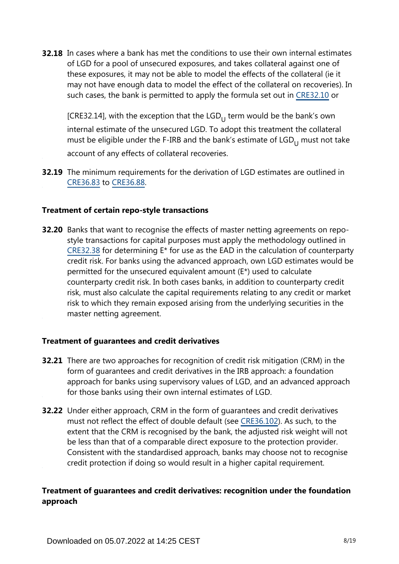**32.18** In cases where a bank has met the conditions to use their own internal estimates of LGD for a pool of unsecured exposures, and takes collateral against one of these exposures, it may not be able to model the effects of the collateral (ie it may not have enough data to model the effect of the collateral on recoveries). In such cases, the bank is permitted to apply the formula set out in [CRE32.10](https://www.bis.org/basel_framework/chapter/CRE/32.htm?tldate=20230101&inforce=20230101&published=20200327#paragraph_CRE_32_20230101_32_10) or

[CRE32.14], with the exception that the  $LGD_{11}$  term would be the bank's own internal estimate of the unsecured LGD. To adopt this treatment the collateral must be eligible under the F-IRB and the bank's estimate of  $LGD_{11}$  must not take account of any effects of collateral recoveries.

**32.19** The minimum requirements for the derivation of LGD estimates are outlined in [CRE36.83](https://www.bis.org/basel_framework/chapter/CRE/36.htm?tldate=20230101&inforce=20230101&published=20200327#paragraph_CRE_36_20230101_36_83) to [CRE36.88](https://www.bis.org/basel_framework/chapter/CRE/36.htm?tldate=20230101&inforce=20230101&published=20200327#paragraph_CRE_36_20230101_36_88).

#### **Treatment of certain repo-style transactions**

**32.20** Banks that want to recognise the effects of master netting agreements on repostyle transactions for capital purposes must apply the methodology outlined in [CRE32.38](https://www.bis.org/basel_framework/chapter/CRE/32.htm?tldate=20230101&inforce=20230101&published=20200327#paragraph_CRE_32_20230101_32_38) for determining E\* for use as the EAD in the calculation of counterparty credit risk. For banks using the advanced approach, own LGD estimates would be permitted for the unsecured equivalent amount (E\*) used to calculate counterparty credit risk. In both cases banks, in addition to counterparty credit risk, must also calculate the capital requirements relating to any credit or market risk to which they remain exposed arising from the underlying securities in the master netting agreement.

#### **Treatment of guarantees and credit derivatives**

- **32.21** There are two approaches for recognition of credit risk mitigation (CRM) in the form of guarantees and credit derivatives in the IRB approach: a foundation approach for banks using supervisory values of LGD, and an advanced approach for those banks using their own internal estimates of LGD.
- **32.22** Under either approach, CRM in the form of guarantees and credit derivatives must not reflect the effect of double default (see [CRE36.102](https://www.bis.org/basel_framework/chapter/CRE/36.htm?tldate=20230101&inforce=20230101&published=20200327#paragraph_CRE_36_20230101_36_102)). As such, to the extent that the CRM is recognised by the bank, the adjusted risk weight will not be less than that of a comparable direct exposure to the protection provider. Consistent with the standardised approach, banks may choose not to recognise credit protection if doing so would result in a higher capital requirement.

# **Treatment of guarantees and credit derivatives: recognition under the foundation approach**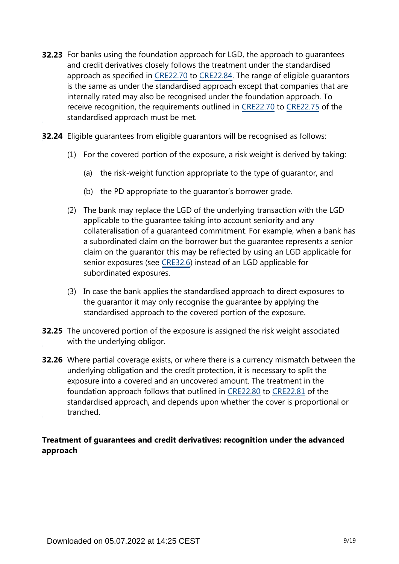- **32.23** For banks using the foundation approach for LGD, the approach to guarantees and credit derivatives closely follows the treatment under the standardised approach as specified in [CRE22.70](https://www.bis.org/basel_framework/chapter/CRE/22.htm?tldate=20230101&inforce=20230101&published=20201126#paragraph_CRE_22_20230101_22_70) to [CRE22.84.](https://www.bis.org/basel_framework/chapter/CRE/22.htm?tldate=20230101&inforce=20230101&published=20201126#paragraph_CRE_22_20230101_22_84) The range of eligible guarantors is the same as under the standardised approach except that companies that are internally rated may also be recognised under the foundation approach. To receive recognition, the requirements outlined in [CRE22.70](https://www.bis.org/basel_framework/chapter/CRE/22.htm?tldate=20230101&inforce=20230101&published=20201126#paragraph_CRE_22_20230101_22_70) to [CRE22.75](https://www.bis.org/basel_framework/chapter/CRE/22.htm?tldate=20230101&inforce=20230101&published=20201126#paragraph_CRE_22_20230101_22_75) of the standardised approach must be met.
- **32.24** Eligible guarantees from eligible guarantors will be recognised as follows:
	- (1) For the covered portion of the exposure, a risk weight is derived by taking:
		- (a) the risk-weight function appropriate to the type of guarantor, and
		- (b) the PD appropriate to the guarantor's borrower grade.
	- (2) The bank may replace the LGD of the underlying transaction with the LGD applicable to the guarantee taking into account seniority and any collateralisation of a guaranteed commitment. For example, when a bank has a subordinated claim on the borrower but the guarantee represents a senior claim on the guarantor this may be reflected by using an LGD applicable for senior exposures (see [CRE32.6\)](https://www.bis.org/basel_framework/chapter/CRE/32.htm?tldate=20230101&inforce=20230101&published=20200327#paragraph_CRE_32_20230101_32_6) instead of an LGD applicable for subordinated exposures.
	- (3) In case the bank applies the standardised approach to direct exposures to the guarantor it may only recognise the guarantee by applying the standardised approach to the covered portion of the exposure.
- **32.25** The uncovered portion of the exposure is assigned the risk weight associated with the underlying obligor.
- **32.26** Where partial coverage exists, or where there is a currency mismatch between the underlying obligation and the credit protection, it is necessary to split the exposure into a covered and an uncovered amount. The treatment in the foundation approach follows that outlined in [CRE22.80](https://www.bis.org/basel_framework/chapter/CRE/22.htm?tldate=20230101&inforce=20230101&published=20201126#paragraph_CRE_22_20230101_22_80) to [CRE22.81](https://www.bis.org/basel_framework/chapter/CRE/22.htm?tldate=20230101&inforce=20230101&published=20201126#paragraph_CRE_22_20230101_22_81) of the standardised approach, and depends upon whether the cover is proportional or tranched.

# **Treatment of guarantees and credit derivatives: recognition under the advanced approach**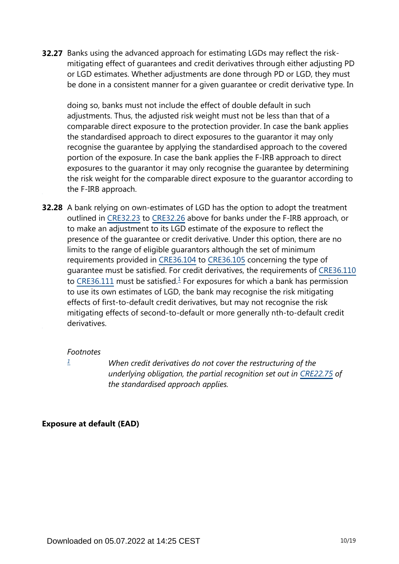**32.27** Banks using the advanced approach for estimating LGDs may reflect the riskmitigating effect of guarantees and credit derivatives through either adjusting PD or LGD estimates. Whether adjustments are done through PD or LGD, they must be done in a consistent manner for a given guarantee or credit derivative type. In

doing so, banks must not include the effect of double default in such adjustments. Thus, the adjusted risk weight must not be less than that of a comparable direct exposure to the protection provider. In case the bank applies the standardised approach to direct exposures to the guarantor it may only recognise the guarantee by applying the standardised approach to the covered portion of the exposure. In case the bank applies the F-IRB approach to direct exposures to the guarantor it may only recognise the guarantee by determining the risk weight for the comparable direct exposure to the guarantor according to the F-IRB approach.

<span id="page-9-1"></span>**32.28** A bank relying on own-estimates of LGD has the option to adopt the treatment outlined in [CRE32.23](https://www.bis.org/basel_framework/chapter/CRE/32.htm?tldate=20230101&inforce=20230101&published=20200327#paragraph_CRE_32_20230101_32_23) to [CRE32.26](https://www.bis.org/basel_framework/chapter/CRE/32.htm?tldate=20230101&inforce=20230101&published=20200327#paragraph_CRE_32_20230101_32_26) above for banks under the F-IRB approach, or to make an adjustment to its LGD estimate of the exposure to reflect the presence of the guarantee or credit derivative. Under this option, there are no limits to the range of eligible guarantors although the set of minimum requirements provided in [CRE36.104](https://www.bis.org/basel_framework/chapter/CRE/36.htm?tldate=20230101&inforce=20230101&published=20200327#paragraph_CRE_36_20230101_36_104) to [CRE36.105](https://www.bis.org/basel_framework/chapter/CRE/36.htm?tldate=20230101&inforce=20230101&published=20200327#paragraph_CRE_36_20230101_36_105) concerning the type of guarantee must be satisfied. For credit derivatives, the requirements of [CRE36.110](https://www.bis.org/basel_framework/chapter/CRE/36.htm?tldate=20230101&inforce=20230101&published=20200327#paragraph_CRE_36_20230101_36_110) to [CRE36.111](https://www.bis.org/basel_framework/chapter/CRE/36.htm?tldate=20230101&inforce=20230101&published=20200327#paragraph_CRE_36_20230101_36_111) must be satisfied. $\frac{1}{2}$  $\frac{1}{2}$  $\frac{1}{2}$  For exposures for which a bank has permission to use its own estimates of LGD, the bank may recognise the risk mitigating effects of first-to-default credit derivatives, but may not recognise the risk mitigating effects of second-to-default or more generally nth-to-default credit derivatives.

#### *Footnotes*

<span id="page-9-0"></span>*[1](#page-9-1)*

*When credit derivatives do not cover the restructuring of the underlying obligation, the partial recognition set out in [CRE22.75](https://www.bis.org/basel_framework/chapter/CRE/22.htm?tldate=20230101&inforce=20230101&published=20201126#paragraph_CRE_22_20230101_22_75) of the standardised approach applies.*

#### **Exposure at default (EAD)**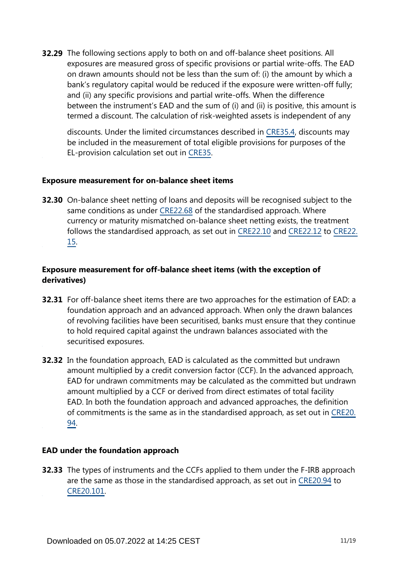**32.29** The following sections apply to both on and off-balance sheet positions. All exposures are measured gross of specific provisions or partial write-offs. The EAD on drawn amounts should not be less than the sum of: (i) the amount by which a bank's regulatory capital would be reduced if the exposure were written-off fully; and (ii) any specific provisions and partial write-offs. When the difference between the instrument's EAD and the sum of (i) and (ii) is positive, this amount is termed a discount. The calculation of risk-weighted assets is independent of any

discounts. Under the limited circumstances described in [CRE35.4,](https://www.bis.org/basel_framework/chapter/CRE/35.htm?tldate=20230101&inforce=20230101&published=20200327#paragraph_CRE_35_20230101_35_4) discounts may be included in the measurement of total eligible provisions for purposes of the EL-provision calculation set out in [CRE35.](https://www.bis.org/basel_framework/chapter/CRE/35.htm?tldate=20230101&inforce=20230101&published=20200327)

#### **Exposure measurement for on-balance sheet items**

**32.30** On-balance sheet netting of loans and deposits will be recognised subject to the same conditions as under [CRE22.68](https://www.bis.org/basel_framework/chapter/CRE/22.htm?tldate=20230101&inforce=20230101&published=20201126#paragraph_CRE_22_20230101_22_68) of the standardised approach. Where currency or maturity mismatched on-balance sheet netting exists, the treatment follows the standardised approach, as set out in [CRE22.10](https://www.bis.org/basel_framework/chapter/CRE/22.htm?tldate=20230101&inforce=20230101&published=20201126#paragraph_CRE_22_20230101_22_10) and [CRE22.12](https://www.bis.org/basel_framework/chapter/CRE/22.htm?tldate=20230101&inforce=20230101&published=20201126#paragraph_CRE_22_20230101_22_12) to [CRE22.](https://www.bis.org/basel_framework/chapter/CRE/22.htm?tldate=20230101&inforce=20230101&published=20201126#paragraph_CRE_22_20230101_22_15) [15](https://www.bis.org/basel_framework/chapter/CRE/22.htm?tldate=20230101&inforce=20230101&published=20201126#paragraph_CRE_22_20230101_22_15).

## **Exposure measurement for off-balance sheet items (with the exception of derivatives)**

- **32.31** For off-balance sheet items there are two approaches for the estimation of EAD: a foundation approach and an advanced approach. When only the drawn balances of revolving facilities have been securitised, banks must ensure that they continue to hold required capital against the undrawn balances associated with the securitised exposures.
- **32.32** In the foundation approach, EAD is calculated as the committed but undrawn amount multiplied by a credit conversion factor (CCF). In the advanced approach, EAD for undrawn commitments may be calculated as the committed but undrawn amount multiplied by a CCF or derived from direct estimates of total facility EAD. In both the foundation approach and advanced approaches, the definition of commitments is the same as in the standardised approach, as set out in [CRE20.](https://www.bis.org/basel_framework/chapter/CRE/20.htm?tldate=20230101&inforce=20230101&published=20201126#paragraph_CRE_20_20230101_20_94) [94](https://www.bis.org/basel_framework/chapter/CRE/20.htm?tldate=20230101&inforce=20230101&published=20201126#paragraph_CRE_20_20230101_20_94).

#### **EAD under the foundation approach**

**32.33** The types of instruments and the CCFs applied to them under the F-IRB approach are the same as those in the standardised approach, as set out in [CRE20.94](https://www.bis.org/basel_framework/chapter/CRE/20.htm?tldate=20230101&inforce=20230101&published=20201126#paragraph_CRE_20_20230101_20_94) to [CRE20.101.](https://www.bis.org/basel_framework/chapter/CRE/20.htm?tldate=20230101&inforce=20230101&published=20201126#paragraph_CRE_20_20230101_20_101)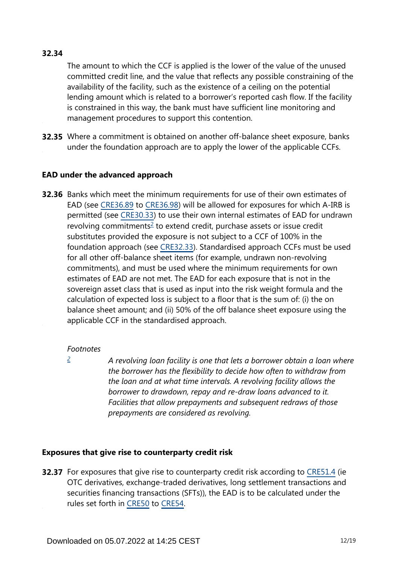# **32.34**

The amount to which the CCF is applied is the lower of the value of the unused committed credit line, and the value that reflects any possible constraining of the availability of the facility, such as the existence of a ceiling on the potential lending amount which is related to a borrower's reported cash flow. If the facility is constrained in this way, the bank must have sufficient line monitoring and management procedures to support this contention.

**32.35** Where a commitment is obtained on another off-balance sheet exposure, banks under the foundation approach are to apply the lower of the applicable CCFs.

#### **EAD under the advanced approach**

<span id="page-11-1"></span>**32.36** Banks which meet the minimum requirements for use of their own estimates of EAD (see [CRE36.89](https://www.bis.org/basel_framework/chapter/CRE/36.htm?tldate=20230101&inforce=20230101&published=20200327#paragraph_CRE_36_20230101_36_89) to [CRE36.98](https://www.bis.org/basel_framework/chapter/CRE/36.htm?tldate=20230101&inforce=20230101&published=20200327#paragraph_CRE_36_20230101_36_98)) will be allowed for exposures for which A-IRB is permitted (see [CRE30.33](https://www.bis.org/basel_framework/chapter/CRE/30.htm?tldate=20230101&inforce=20230101&published=20200327#paragraph_CRE_30_20230101_30_33)) to use their own internal estimates of EAD for undrawn revolving commitments<sup>[2](#page-11-0)</sup> to extend credit, purchase assets or issue credit substitutes provided the exposure is not subject to a CCF of 100% in the foundation approach (see [CRE32.33](https://www.bis.org/basel_framework/chapter/CRE/32.htm?tldate=20230101&inforce=20230101&published=20200327#paragraph_CRE_32_20230101_32_33)). Standardised approach CCFs must be used for all other off-balance sheet items (for example, undrawn non-revolving commitments), and must be used where the minimum requirements for own estimates of EAD are not met. The EAD for each exposure that is not in the sovereign asset class that is used as input into the risk weight formula and the calculation of expected loss is subject to a floor that is the sum of: (i) the on balance sheet amount; and (ii) 50% of the off balance sheet exposure using the applicable CCF in the standardised approach.

#### *Footnotes*

<span id="page-11-0"></span>*[2](#page-11-1)*

*A revolving loan facility is one that lets a borrower obtain a loan where the borrower has the flexibility to decide how often to withdraw from the loan and at what time intervals. A revolving facility allows the borrower to drawdown, repay and re-draw loans advanced to it. Facilities that allow prepayments and subsequent redraws of those prepayments are considered as revolving.*

# **Exposures that give rise to counterparty credit risk**

**32.37** For exposures that give rise to counterparty credit risk according to [CRE51.4](https://www.bis.org/basel_framework/chapter/CRE/51.htm?tldate=20230101&inforce=20230101&published=20200327#paragraph_CRE_51_20230101_51_4) (ie OTC derivatives, exchange-traded derivatives, long settlement transactions and securities financing transactions (SFTs)), the EAD is to be calculated under the rules set forth in [CRE50](https://www.bis.org/basel_framework/chapter/CRE/50.htm?tldate=20230101&inforce=20191215&published=20191215) to [CRE54](https://www.bis.org/basel_framework/chapter/CRE/54.htm?tldate=20230101&inforce=20230101&published=20200327).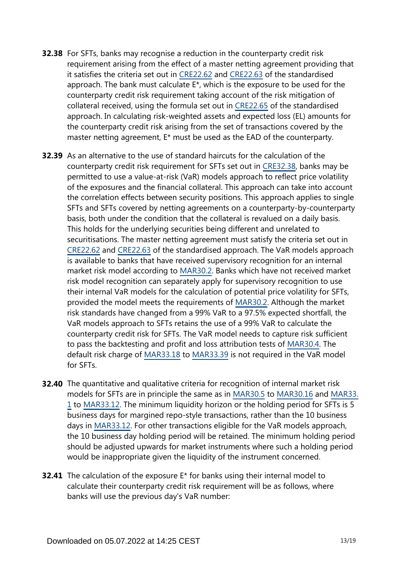- **32.38** For SFTs, banks may recognise a reduction in the counterparty credit risk requirement arising from the effect of a master netting agreement providing that it satisfies the criteria set out in [CRE22.62](https://www.bis.org/basel_framework/chapter/CRE/22.htm?tldate=20230101&inforce=20230101&published=20201126#paragraph_CRE_22_20230101_22_62) and [CRE22.63](https://www.bis.org/basel_framework/chapter/CRE/22.htm?tldate=20230101&inforce=20230101&published=20201126#paragraph_CRE_22_20230101_22_63) of the standardised approach. The bank must calculate E\*, which is the exposure to be used for the counterparty credit risk requirement taking account of the risk mitigation of collateral received, using the formula set out in [CRE22.65](https://www.bis.org/basel_framework/chapter/CRE/22.htm?tldate=20230101&inforce=20230101&published=20201126#paragraph_CRE_22_20230101_22_65) of the standardised approach. In calculating risk-weighted assets and expected loss (EL) amounts for the counterparty credit risk arising from the set of transactions covered by the master netting agreement, E\* must be used as the EAD of the counterparty.
- **32.39** As an alternative to the use of standard haircuts for the calculation of the counterparty credit risk requirement for SFTs set out in [CRE32.38](https://www.bis.org/basel_framework/chapter/CRE/32.htm?tldate=20230101&inforce=20230101&published=20200327#paragraph_CRE_32_20230101_32_38), banks may be permitted to use a value-at-risk (VaR) models approach to reflect price volatility of the exposures and the financial collateral. This approach can take into account the correlation effects between security positions. This approach applies to single SFTs and SFTs covered by netting agreements on a counterparty-by-counterparty basis, both under the condition that the collateral is revalued on a daily basis. This holds for the underlying securities being different and unrelated to securitisations. The master netting agreement must satisfy the criteria set out in [CRE22.62](https://www.bis.org/basel_framework/chapter/CRE/22.htm?tldate=20230101&inforce=20230101&published=20201126#paragraph_CRE_22_20230101_22_62) and [CRE22.63](https://www.bis.org/basel_framework/chapter/CRE/22.htm?tldate=20230101&inforce=20230101&published=20201126#paragraph_CRE_22_20230101_22_63) of the standardised approach. The VaR models approach is available to banks that have received supervisory recognition for an internal market risk model according to [MAR30.2](https://www.bis.org/basel_framework/chapter/MAR/30.htm?tldate=20230101&inforce=20230101&published=20200327#paragraph_MAR_30_20230101_30_2). Banks which have not received market risk model recognition can separately apply for supervisory recognition to use their internal VaR models for the calculation of potential price volatility for SFTs, provided the model meets the requirements of [MAR30.2.](https://www.bis.org/basel_framework/chapter/MAR/30.htm?tldate=20230101&inforce=20230101&published=20200327#paragraph_MAR_30_20230101_30_2) Although the market risk standards have changed from a 99% VaR to a 97.5% expected shortfall, the VaR models approach to SFTs retains the use of a 99% VaR to calculate the counterparty credit risk for SFTs. The VaR model needs to capture risk sufficient to pass the backtesting and profit and loss attribution tests of [MAR30.4](https://www.bis.org/basel_framework/chapter/MAR/30.htm?tldate=20230101&inforce=20230101&published=20200327#paragraph_MAR_30_20230101_30_4). The default risk charge of [MAR33.18](https://www.bis.org/basel_framework/chapter/MAR/33.htm?tldate=20230101&inforce=20230101&published=20200605#paragraph_MAR_33_20230101_33_18) to [MAR33.39](https://www.bis.org/basel_framework/chapter/MAR/33.htm?tldate=20230101&inforce=20230101&published=20200605#paragraph_MAR_33_20230101_33_39) is not required in the VaR model for SFTs.
- **32.40** The quantitative and qualitative criteria for recognition of internal market risk models for SFTs are in principle the same as in [MAR30.5](https://www.bis.org/basel_framework/chapter/MAR/30.htm?tldate=20230101&inforce=20230101&published=20200327#paragraph_MAR_30_20230101_30_5) to [MAR30.16](https://www.bis.org/basel_framework/chapter/MAR/30.htm?tldate=20230101&inforce=20230101&published=20200327#paragraph_MAR_30_20230101_30_16) and [MAR33.](https://www.bis.org/basel_framework/chapter/MAR/33.htm?tldate=20230101&inforce=20230101&published=20200605#paragraph_MAR_33_20230101_33_1) [1](https://www.bis.org/basel_framework/chapter/MAR/33.htm?tldate=20230101&inforce=20230101&published=20200605#paragraph_MAR_33_20230101_33_1) to [MAR33.12](https://www.bis.org/basel_framework/chapter/MAR/33.htm?tldate=20230101&inforce=20230101&published=20200605#paragraph_MAR_33_20230101_33_12). The minimum liquidity horizon or the holding period for SFTs is 5 business days for margined repo-style transactions, rather than the 10 business days in [MAR33.12.](https://www.bis.org/basel_framework/chapter/MAR/33.htm?tldate=20230101&inforce=20230101&published=20200605#paragraph_MAR_33_20230101_33_12) For other transactions eligible for the VaR models approach, the 10 business day holding period will be retained. The minimum holding period should be adjusted upwards for market instruments where such a holding period would be inappropriate given the liquidity of the instrument concerned.
- **32.41** The calculation of the exposure E<sup>\*</sup> for banks using their internal model to calculate their counterparty credit risk requirement will be as follows, where banks will use the previous day's VaR number: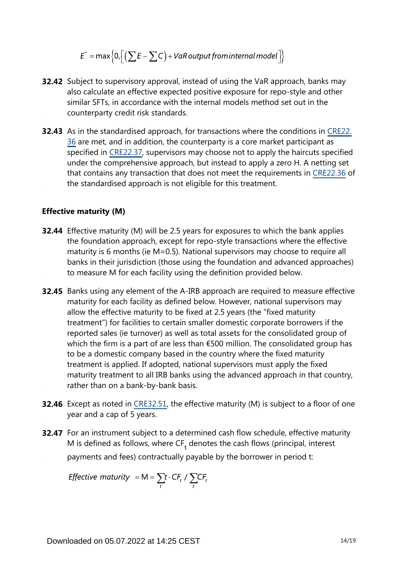$$
E^* = \max\Big\{0, \Big[\Big(\sum E - \sum C\Big) + VaR\,output\,from\,internal\,model\Big]\Big\}
$$

- **32.42** Subject to supervisory approval, instead of using the VaR approach, banks may also calculate an effective expected positive exposure for repo-style and other similar SFTs, in accordance with the internal models method set out in the counterparty credit risk standards.
- **32.43** As in the standardised approach, for transactions where the conditions in [CRE22.](https://www.bis.org/basel_framework/chapter/CRE/22.htm?tldate=20230101&inforce=20230101&published=20201126#paragraph_CRE_22_20230101_22_36) [36](https://www.bis.org/basel_framework/chapter/CRE/22.htm?tldate=20230101&inforce=20230101&published=20201126#paragraph_CRE_22_20230101_22_36) are met, and in addition, the counterparty is a core market participant as specified in [CRE22.37](https://www.bis.org/basel_framework/chapter/CRE/22.htm?tldate=20230101&inforce=20230101&published=20201126#paragraph_CRE_22_20230101_22_37), supervisors may choose not to apply the haircuts specified under the comprehensive approach, but instead to apply a zero H. A netting set that contains any transaction that does not meet the requirements in [CRE22.36](https://www.bis.org/basel_framework/chapter/CRE/22.htm?tldate=20230101&inforce=20230101&published=20201126#paragraph_CRE_22_20230101_22_36) of the standardised approach is not eligible for this treatment.

#### **Effective maturity (M)**

- **32.44** Effective maturity (M) will be 2.5 years for exposures to which the bank applies the foundation approach, except for repo-style transactions where the effective maturity is 6 months (ie M=0.5). National supervisors may choose to require all banks in their jurisdiction (those using the foundation and advanced approaches) to measure M for each facility using the definition provided below.
- **32.45** Banks using any element of the A-IRB approach are required to measure effective maturity for each facility as defined below. However, national supervisors may allow the effective maturity to be fixed at 2.5 years (the "fixed maturity treatment") for facilities to certain smaller domestic corporate borrowers if the reported sales (ie turnover) as well as total assets for the consolidated group of which the firm is a part of are less than €500 million. The consolidated group has to be a domestic company based in the country where the fixed maturity treatment is applied. If adopted, national supervisors must apply the fixed maturity treatment to all IRB banks using the advanced approach in that country, rather than on a bank-by-bank basis.
- **32.46** Except as noted in [CRE32.51,](https://www.bis.org/basel_framework/chapter/CRE/32.htm?tldate=20230101&inforce=20230101&published=20200327#paragraph_CRE_32_20230101_32_51) the effective maturity (M) is subject to a floor of one year and a cap of 5 years.
- **32.47** For an instrument subject to a determined cash flow schedule, effective maturity M is defined as follows, where  $CF<sub>+</sub>$  denotes the cash flows (principal, interest payments and fees) contractually payable by the borrower in period t:

*Effective maturity* = M =  $\sum_{t} t \cdot CF_t / \sum_{t} CF_t$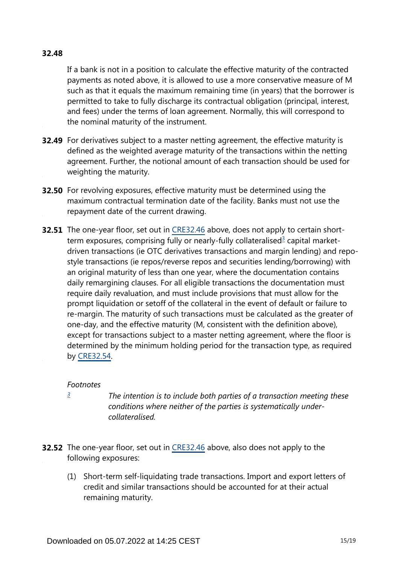#### **32.48**

If a bank is not in a position to calculate the effective maturity of the contracted payments as noted above, it is allowed to use a more conservative measure of M such as that it equals the maximum remaining time (in years) that the borrower is permitted to take to fully discharge its contractual obligation (principal, interest, and fees) under the terms of loan agreement. Normally, this will correspond to the nominal maturity of the instrument.

- **32.49** For derivatives subject to a master netting agreement, the effective maturity is defined as the weighted average maturity of the transactions within the netting agreement. Further, the notional amount of each transaction should be used for weighting the maturity.
- **32.50** For revolving exposures, effective maturity must be determined using the maximum contractual termination date of the facility. Banks must not use the repayment date of the current drawing.
- <span id="page-14-1"></span>**32.51** The one-year floor, set out in [CRE32.46](https://www.bis.org/basel_framework/chapter/CRE/32.htm?tldate=20230101&inforce=20230101&published=20200327#paragraph_CRE_32_20230101_32_46) above, does not apply to certain short-term exposures, comprising fully or nearly-fully collateralised<sup>[3](#page-14-0)</sup> capital marketdriven transactions (ie OTC derivatives transactions and margin lending) and repostyle transactions (ie repos/reverse repos and securities lending/borrowing) with an original maturity of less than one year, where the documentation contains daily remargining clauses. For all eligible transactions the documentation must require daily revaluation, and must include provisions that must allow for the prompt liquidation or setoff of the collateral in the event of default or failure to re-margin. The maturity of such transactions must be calculated as the greater of one-day, and the effective maturity (M, consistent with the definition above), except for transactions subject to a master netting agreement, where the floor is determined by the minimum holding period for the transaction type, as required by [CRE32.54](https://www.bis.org/basel_framework/chapter/CRE/32.htm?tldate=20230101&inforce=20230101&published=20200327#paragraph_CRE_32_20230101_32_54).

#### *Footnotes*

<span id="page-14-0"></span>*[3](#page-14-1)*

*The intention is to include both parties of a transaction meeting these conditions where neither of the parties is systematically undercollateralised.*

- **32.52** The one-year floor, set out in [CRE32.46](https://www.bis.org/basel_framework/chapter/CRE/32.htm?tldate=20230101&inforce=20230101&published=20200327#paragraph_CRE_32_20230101_32_46) above, also does not apply to the following exposures:
	- (1) Short-term self-liquidating trade transactions. Import and export letters of credit and similar transactions should be accounted for at their actual remaining maturity.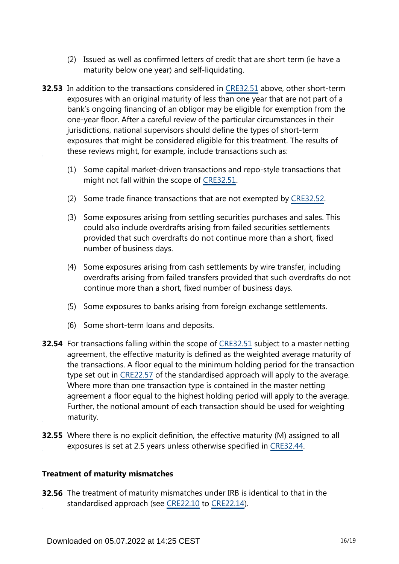- (2) Issued as well as confirmed letters of credit that are short term (ie have a maturity below one year) and self-liquidating.
- **32.53** In addition to the transactions considered in [CRE32.51](https://www.bis.org/basel_framework/chapter/CRE/32.htm?tldate=20230101&inforce=20230101&published=20200327#paragraph_CRE_32_20230101_32_51) above, other short-term exposures with an original maturity of less than one year that are not part of a bank's ongoing financing of an obligor may be eligible for exemption from the one-year floor. After a careful review of the particular circumstances in their jurisdictions, national supervisors should define the types of short-term exposures that might be considered eligible for this treatment. The results of these reviews might, for example, include transactions such as:
	- (1) Some capital market-driven transactions and repo-style transactions that might not fall within the scope of [CRE32.51](https://www.bis.org/basel_framework/chapter/CRE/32.htm?tldate=20230101&inforce=20230101&published=20200327#paragraph_CRE_32_20230101_32_51).
	- (2) Some trade finance transactions that are not exempted by [CRE32.52.](https://www.bis.org/basel_framework/chapter/CRE/32.htm?tldate=20230101&inforce=20230101&published=20200327#paragraph_CRE_32_20230101_32_52)
	- (3) Some exposures arising from settling securities purchases and sales. This could also include overdrafts arising from failed securities settlements provided that such overdrafts do not continue more than a short, fixed number of business days.
	- (4) Some exposures arising from cash settlements by wire transfer, including overdrafts arising from failed transfers provided that such overdrafts do not continue more than a short, fixed number of business days.
	- (5) Some exposures to banks arising from foreign exchange settlements.
	- (6) Some short-term loans and deposits.
- **32.54** For transactions falling within the scope of [CRE32.51](https://www.bis.org/basel_framework/chapter/CRE/32.htm?tldate=20230101&inforce=20230101&published=20200327#paragraph_CRE_32_20230101_32_51) subject to a master netting agreement, the effective maturity is defined as the weighted average maturity of the transactions. A floor equal to the minimum holding period for the transaction type set out in [CRE22.57](https://www.bis.org/basel_framework/chapter/CRE/22.htm?tldate=20230101&inforce=20230101&published=20201126#paragraph_CRE_22_20230101_22_57) of the standardised approach will apply to the average. Where more than one transaction type is contained in the master netting agreement a floor equal to the highest holding period will apply to the average. Further, the notional amount of each transaction should be used for weighting maturity.
- **32.55** Where there is no explicit definition, the effective maturity (M) assigned to all exposures is set at 2.5 years unless otherwise specified in [CRE32.44](https://www.bis.org/basel_framework/chapter/CRE/32.htm?tldate=20230101&inforce=20230101&published=20200327#paragraph_CRE_32_20230101_32_44).

#### **Treatment of maturity mismatches**

**32.56** The treatment of maturity mismatches under IRB is identical to that in the standardised approach (see [CRE22.10](https://www.bis.org/basel_framework/chapter/CRE/22.htm?tldate=20230101&inforce=20230101&published=20201126#paragraph_CRE_22_20230101_22_10) to [CRE22.14\)](https://www.bis.org/basel_framework/chapter/CRE/22.htm?tldate=20230101&inforce=20230101&published=20201126#paragraph_CRE_22_20230101_22_14).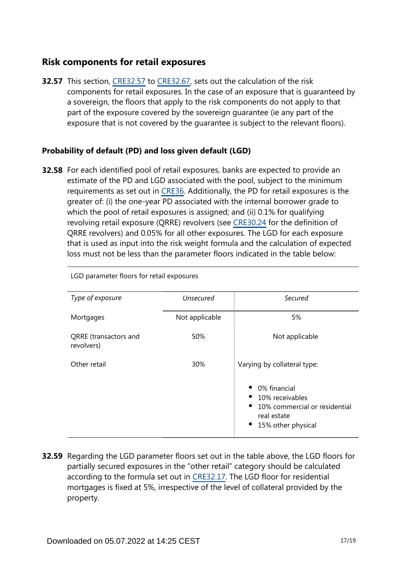# **Risk components for retail exposures**

**32.57** This section, [CRE32.57](https://www.bis.org/basel_framework/chapter/CRE/32.htm?tldate=20230101&inforce=20230101&published=20200327#paragraph_CRE_32_20230101_32_57) to [CRE32.67](https://www.bis.org/basel_framework/chapter/CRE/32.htm?tldate=20230101&inforce=20230101&published=20200327#paragraph_CRE_32_20230101_32_67), sets out the calculation of the risk components for retail exposures. In the case of an exposure that is guaranteed by a sovereign, the floors that apply to the risk components do not apply to that part of the exposure covered by the sovereign guarantee (ie any part of the exposure that is not covered by the guarantee is subject to the relevant floors).

## **Probability of default (PD) and loss given default (LGD)**

**32.58** For each identified pool of retail exposures, banks are expected to provide an estimate of the PD and LGD associated with the pool, subject to the minimum requirements as set out in [CRE36](https://www.bis.org/basel_framework/chapter/CRE/36.htm?tldate=20230101&inforce=20230101&published=20200327). Additionally, the PD for retail exposures is the greater of: (i) the one-year PD associated with the internal borrower grade to which the pool of retail exposures is assigned; and (ii) 0.1% for qualifying revolving retail exposure (QRRE) revolvers (see [CRE30.24](https://www.bis.org/basel_framework/chapter/CRE/30.htm?tldate=20230101&inforce=20230101&published=20200327#paragraph_CRE_30_20230101_30_24) for the definition of QRRE revolvers) and 0.05% for all other exposures. The LGD for each exposure that is used as input into the risk weight formula and the calculation of expected loss must not be less than the parameter floors indicated in the table below:

| Type of exposure                    | <b>Unsecured</b> | Secured                                                                                                            |
|-------------------------------------|------------------|--------------------------------------------------------------------------------------------------------------------|
| Mortgages                           | Not applicable   | 5%                                                                                                                 |
| QRRE (transactors and<br>revolvers) | 50%              | Not applicable                                                                                                     |
| Other retail                        | 30%              | Varying by collateral type:                                                                                        |
|                                     |                  | 0% financial<br>10% receivables<br>10% commercial or residential<br>$\bullet$<br>real estate<br>15% other physical |

LGD parameter floors for retail exposures

**32.59** Regarding the LGD parameter floors set out in the table above, the LGD floors for partially secured exposures in the "other retail" category should be calculated according to the formula set out in [CRE32.17.](https://www.bis.org/basel_framework/chapter/CRE/32.htm?tldate=20230101&inforce=20230101&published=20200327#paragraph_CRE_32_20230101_32_17) The LGD floor for residential mortgages is fixed at 5%, irrespective of the level of collateral provided by the property.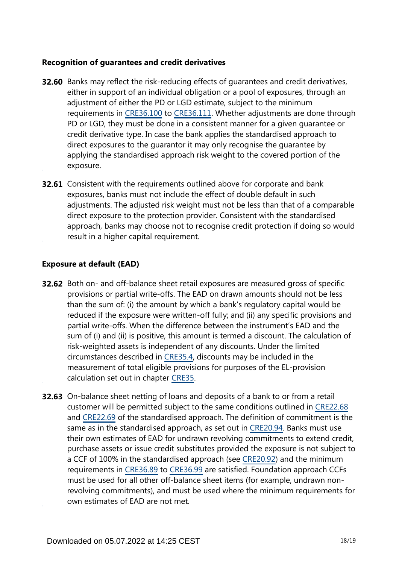#### **Recognition of guarantees and credit derivatives**

- **32.60** Banks may reflect the risk-reducing effects of guarantees and credit derivatives, either in support of an individual obligation or a pool of exposures, through an adjustment of either the PD or LGD estimate, subject to the minimum requirements in [CRE36.100](https://www.bis.org/basel_framework/chapter/CRE/36.htm?tldate=20230101&inforce=20230101&published=20200327#paragraph_CRE_36_20230101_36_100) to [CRE36.111](https://www.bis.org/basel_framework/chapter/CRE/36.htm?tldate=20230101&inforce=20230101&published=20200327#paragraph_CRE_36_20230101_36_111). Whether adjustments are done through PD or LGD, they must be done in a consistent manner for a given guarantee or credit derivative type. In case the bank applies the standardised approach to direct exposures to the guarantor it may only recognise the guarantee by applying the standardised approach risk weight to the covered portion of the exposure.
- **32.61** Consistent with the requirements outlined above for corporate and bank exposures, banks must not include the effect of double default in such adjustments. The adjusted risk weight must not be less than that of a comparable direct exposure to the protection provider. Consistent with the standardised approach, banks may choose not to recognise credit protection if doing so would result in a higher capital requirement.

#### **Exposure at default (EAD)**

- **32.62** Both on- and off-balance sheet retail exposures are measured gross of specific provisions or partial write-offs. The EAD on drawn amounts should not be less than the sum of: (i) the amount by which a bank's regulatory capital would be reduced if the exposure were written-off fully; and (ii) any specific provisions and partial write-offs. When the difference between the instrument's EAD and the sum of (i) and (ii) is positive, this amount is termed a discount. The calculation of risk-weighted assets is independent of any discounts. Under the limited circumstances described in [CRE35.4,](https://www.bis.org/basel_framework/chapter/CRE/35.htm?tldate=20230101&inforce=20230101&published=20200327#paragraph_CRE_35_20230101_35_4) discounts may be included in the measurement of total eligible provisions for purposes of the EL-provision calculation set out in chapter [CRE35.](https://www.bis.org/basel_framework/chapter/CRE/35.htm?tldate=20230101&inforce=20230101&published=20200327)
- **32.63** On-balance sheet netting of loans and deposits of a bank to or from a retail customer will be permitted subject to the same conditions outlined in [CRE22.68](https://www.bis.org/basel_framework/chapter/CRE/22.htm?tldate=20230101&inforce=20230101&published=20201126#paragraph_CRE_22_20230101_22_68) and [CRE22.69](https://www.bis.org/basel_framework/chapter/CRE/22.htm?tldate=20230101&inforce=20230101&published=20201126#paragraph_CRE_22_20230101_22_69) of the standardised approach. The definition of commitment is the same as in the standardised approach, as set out in [CRE20.94](https://www.bis.org/basel_framework/chapter/CRE/20.htm?tldate=20230101&inforce=20230101&published=20201126#paragraph_CRE_20_20230101_20_94). Banks must use their own estimates of EAD for undrawn revolving commitments to extend credit, purchase assets or issue credit substitutes provided the exposure is not subject to a CCF of 100% in the standardised approach (see [CRE20.92](https://www.bis.org/basel_framework/chapter/CRE/20.htm?tldate=20230101&inforce=20230101&published=20201126#paragraph_CRE_20_20230101_20_92)) and the minimum requirements in [CRE36.89](https://www.bis.org/basel_framework/chapter/CRE/36.htm?tldate=20230101&inforce=20230101&published=20200327#paragraph_CRE_36_20230101_36_89) to [CRE36.99](https://www.bis.org/basel_framework/chapter/CRE/36.htm?tldate=20230101&inforce=20230101&published=20200327#paragraph_CRE_36_20230101_36_99) are satisfied. Foundation approach CCFs must be used for all other off-balance sheet items (for example, undrawn nonrevolving commitments), and must be used where the minimum requirements for own estimates of EAD are not met.